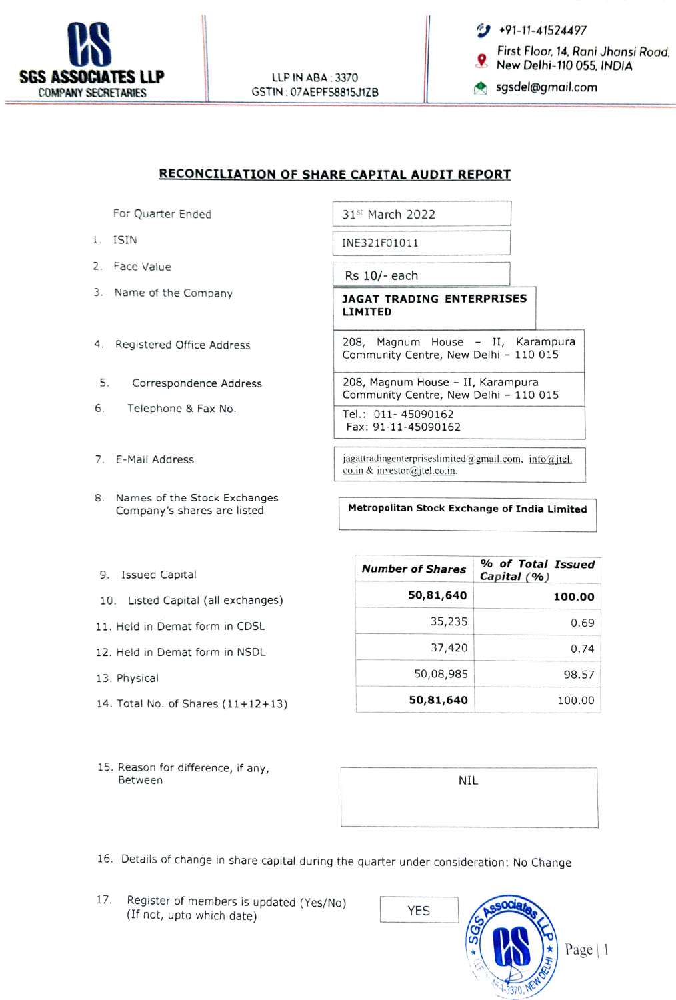

LLP IN ABA:3370 GSTIN:07AEPFS8815J1ZB **Sgsdel@gmail.com** 

First Floor, 14, Rani Jhansi Road,<br>New Delhi-110 055, INDIA

## RECONCILIATION OF SHARE CAPITAL AUDIT REPORT

For Quarter Ended 31st March 2022

- 
- 2. Face Value
- 
- 4. Registered Office Address
- Correspondence Address
- 6. Telephone & Fax No. Tel.: 011-45090162
- 7. E-Mail Address
- 8. Names of the Stock Exchanges

1. ISIN INE321F01011

Rs 10/- each

3. Name of the Company **JAGAT TRADING ENTERPRISES** LIMITED

> 208, Magnum House - II, Karampura Community Centre, New Delhi - 110 015

5. Correspondence Address 208, Magnum House - II, Karampura Community Centre, New Delhi - 110 015

Fax: 91-11-45090162

jagatradingenterpriseslimited@gmail.com, info@jtel. co.in & investor@jtel.co.in

Company's shares are listed Metropolitan Stock Exchange of India Limited

- 9. Issued Capital
- 10. Listed Capital (all exchanges)
- 11. Held in Demat form in CDSL
- 12. Held in Demat form in NSDL
- 
- 14. Total No. of Shares  $(11+12+13)$
- 15. Reason for difference, if any, Between NIL and the state of the state of the state of the NIL and the SNIL and the NIL and the SNIL and the N

| 9. Issued Capital                  | <b>Number of Shares</b> | % of Total Issued<br>Capital $(% )$ |
|------------------------------------|-------------------------|-------------------------------------|
| 10. Listed Capital (all exchanges) | 50,81,640               | 100.00                              |
| 11. Held in Demat form in CDSL     | 35,235                  | 0.69                                |
| 12. Held in Demat form in NSDL     | 37,420                  | 0.74                                |
| 13. Physical                       | 50,08,985               | 98.57                               |
| 14. Total No. of Shares (11+12+13) | 50,81,640               | 100.00                              |

- 16. Details of change in share capital during the quarter under consideration: No Change
- 17. Register of members is updated (Yes/No)  $YES$  (If not, upto which date)